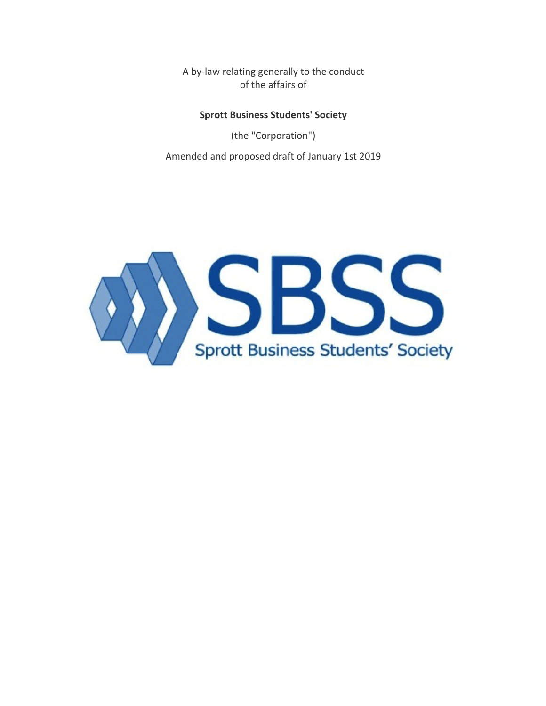A by-law relating generally to the conduct of the affairs of

# **Sprott Business Students' Society**

(the "Corporation") Amended and proposed draft of January 1st 2019

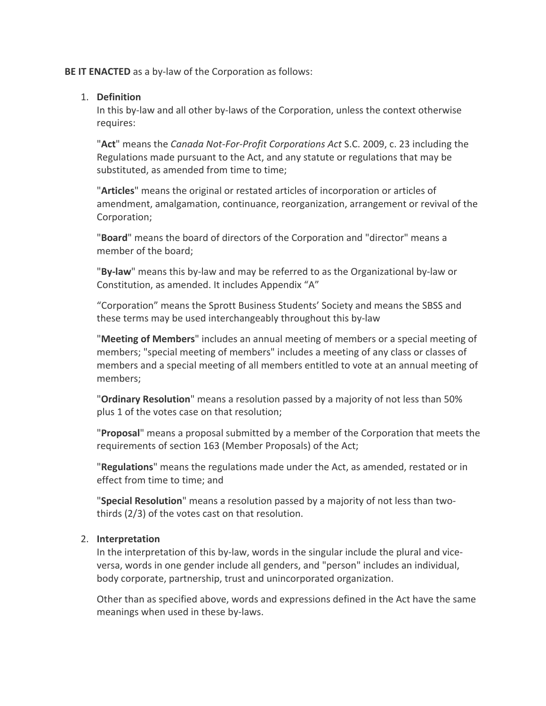**BE IT ENACTED** as a by-law of the Corporation as follows:

## 1. **Definition**

In this by-law and all other by-laws of the Corporation, unless the context otherwise requires:

"Act" means the *Canada Not-For-Profit Corporations Act* S.C. 2009, c. 23 including the Regulations made pursuant to the Act, and any statute or regulations that may be substituted, as amended from time to time;

"Articles" means the original or restated articles of incorporation or articles of amendment, amalgamation, continuance, reorganization, arrangement or revival of the Corporation;

"**Board**" means the board of directors of the Corporation and "director" means a member of the board:

"By-law" means this by-law and may be referred to as the Organizational by-law or Constitution, as amended. It includes Appendix "A"

"Corporation" means the Sprott Business Students' Society and means the SBSS and these terms may be used interchangeably throughout this by-law

**"Meeting of Members"** includes an annual meeting of members or a special meeting of members; "special meeting of members" includes a meeting of any class or classes of members and a special meeting of all members entitled to vote at an annual meeting of members;

**"Ordinary Resolution**" means a resolution passed by a majority of not less than 50% plus 1 of the votes case on that resolution;

**"Proposal"** means a proposal submitted by a member of the Corporation that meets the requirements of section 163 (Member Proposals) of the Act;

**"Regulations**" means the regulations made under the Act, as amended, restated or in effect from time to time; and

**"Special Resolution**" means a resolution passed by a majority of not less than twothirds  $(2/3)$  of the votes cast on that resolution.

# 2. **Interpretation**

In the interpretation of this by-law, words in the singular include the plural and viceversa, words in one gender include all genders, and "person" includes an individual, body corporate, partnership, trust and unincorporated organization.

Other than as specified above, words and expressions defined in the Act have the same meanings when used in these by-laws.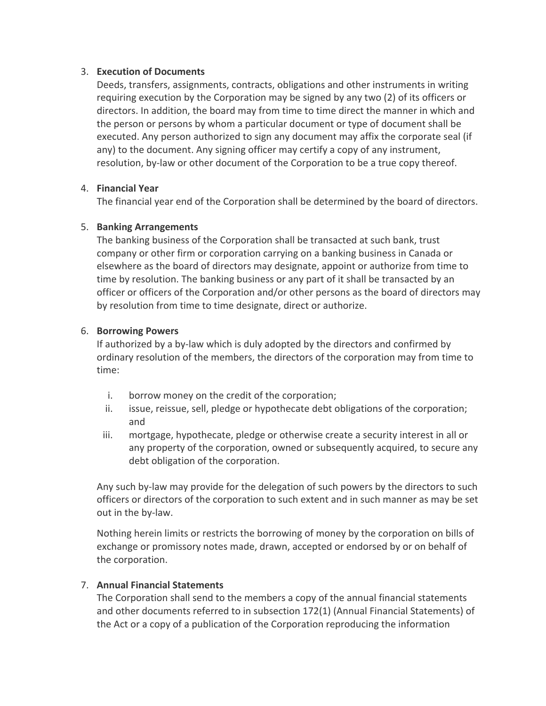## 3. **Execution of Documents**

Deeds, transfers, assignments, contracts, obligations and other instruments in writing requiring execution by the Corporation may be signed by any two (2) of its officers or directors. In addition, the board may from time to time direct the manner in which and the person or persons by whom a particular document or type of document shall be executed. Any person authorized to sign any document may affix the corporate seal (if any) to the document. Any signing officer may certify a copy of any instrument, resolution, by-law or other document of the Corporation to be a true copy thereof.

## 4. **Financial Year**

The financial year end of the Corporation shall be determined by the board of directors.

## 5. **Banking Arrangements**

The banking business of the Corporation shall be transacted at such bank, trust company or other firm or corporation carrying on a banking business in Canada or elsewhere as the board of directors may designate, appoint or authorize from time to time by resolution. The banking business or any part of it shall be transacted by an officer or officers of the Corporation and/or other persons as the board of directors may by resolution from time to time designate, direct or authorize.

## 6. **Borrowing Powers**

If authorized by a by-law which is duly adopted by the directors and confirmed by ordinary resolution of the members, the directors of the corporation may from time to time:

- i. borrow money on the credit of the corporation;
- ii. issue, reissue, sell, pledge or hypothecate debt obligations of the corporation; and
- iii. mortgage, hypothecate, pledge or otherwise create a security interest in all or any property of the corporation, owned or subsequently acquired, to secure any debt obligation of the corporation.

Any such by-law may provide for the delegation of such powers by the directors to such officers or directors of the corporation to such extent and in such manner as may be set out in the by-law.

Nothing herein limits or restricts the borrowing of money by the corporation on bills of exchange or promissory notes made, drawn, accepted or endorsed by or on behalf of the corporation.

# 7. **Annual Financial Statements**

The Corporation shall send to the members a copy of the annual financial statements and other documents referred to in subsection  $172(1)$  (Annual Financial Statements) of the Act or a copy of a publication of the Corporation reproducing the information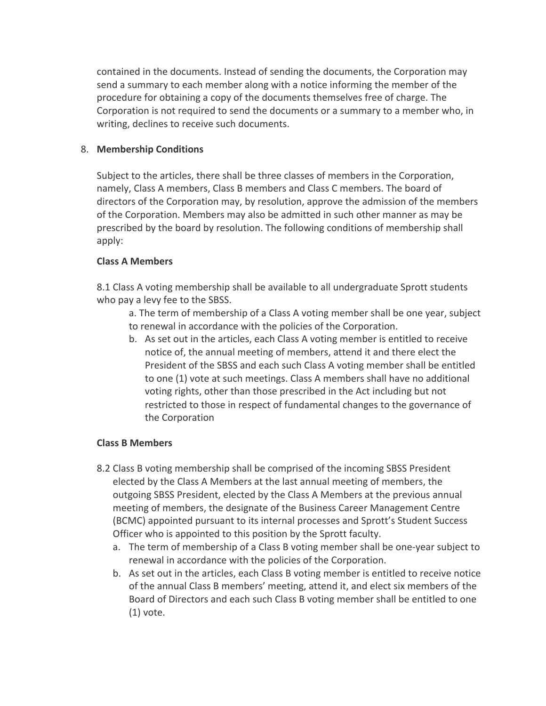contained in the documents. Instead of sending the documents, the Corporation may send a summary to each member along with a notice informing the member of the procedure for obtaining a copy of the documents themselves free of charge. The Corporation is not required to send the documents or a summary to a member who, in writing, declines to receive such documents.

# 8. Membership Conditions

Subject to the articles, there shall be three classes of members in the Corporation, namely, Class A members, Class B members and Class C members. The board of directors of the Corporation may, by resolution, approve the admission of the members of the Corporation. Members may also be admitted in such other manner as may be prescribed by the board by resolution. The following conditions of membership shall apply:

# **Class A Members**

8.1 Class A voting membership shall be available to all undergraduate Sprott students who pay a levy fee to the SBSS.

a. The term of membership of a Class A voting member shall be one year, subject to renewal in accordance with the policies of the Corporation.

b. As set out in the articles, each Class A voting member is entitled to receive notice of, the annual meeting of members, attend it and there elect the President of the SBSS and each such Class A voting member shall be entitled to one (1) vote at such meetings. Class A members shall have no additional voting rights, other than those prescribed in the Act including but not restricted to those in respect of fundamental changes to the governance of the Corporation

# **Class B Members**

- 8.2 Class B voting membership shall be comprised of the incoming SBSS President elected by the Class A Members at the last annual meeting of members, the outgoing SBSS President, elected by the Class A Members at the previous annual meeting of members, the designate of the Business Career Management Centre (BCMC) appointed pursuant to its internal processes and Sprott's Student Success Officer who is appointed to this position by the Sprott faculty.
	- a. The term of membership of a Class B voting member shall be one-year subject to renewal in accordance with the policies of the Corporation.
	- b. As set out in the articles, each Class B voting member is entitled to receive notice of the annual Class B members' meeting, attend it, and elect six members of the Board of Directors and each such Class B voting member shall be entitled to one  $(1)$  vote.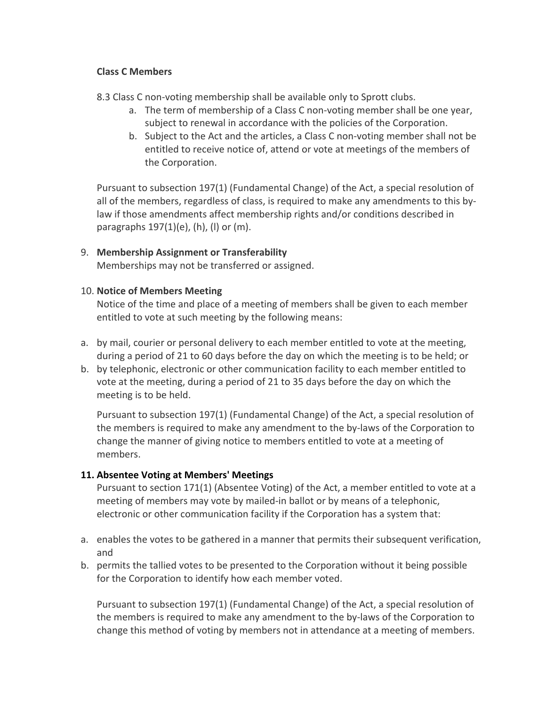## **Class C Members**

- 8.3 Class C non-voting membership shall be available only to Sprott clubs.
	- a. The term of membership of a Class C non-voting member shall be one year, subject to renewal in accordance with the policies of the Corporation.
	- b. Subject to the Act and the articles, a Class C non-voting member shall not be entitled to receive notice of, attend or vote at meetings of the members of the Corporation.

Pursuant to subsection 197(1) (Fundamental Change) of the Act, a special resolution of all of the members, regardless of class, is required to make any amendments to this bylaw if those amendments affect membership rights and/or conditions described in paragraphs  $197(1)(e)$ , (h), (l) or (m).

# 9. **Membership Assignment or Transferability**

Memberships may not be transferred or assigned.

## 10. **Notice of Members Meeting**

Notice of the time and place of a meeting of members shall be given to each member entitled to vote at such meeting by the following means:

- a. by mail, courier or personal delivery to each member entitled to vote at the meeting, during a period of 21 to 60 days before the day on which the meeting is to be held; or
- b. by telephonic, electronic or other communication facility to each member entitled to vote at the meeting, during a period of 21 to 35 days before the day on which the meeting is to be held.

Pursuant to subsection 197(1) (Fundamental Change) of the Act, a special resolution of the members is required to make any amendment to the by-laws of the Corporation to change the manner of giving notice to members entitled to vote at a meeting of members.

# **11. Absentee Voting at Members' Meetings**

Pursuant to section 171(1) (Absentee Voting) of the Act, a member entitled to vote at a meeting of members may vote by mailed-in ballot or by means of a telephonic, electronic or other communication facility if the Corporation has a system that:

- a. enables the votes to be gathered in a manner that permits their subsequent verification, and
- b. permits the tallied votes to be presented to the Corporation without it being possible for the Corporation to identify how each member voted.

Pursuant to subsection 197(1) (Fundamental Change) of the Act, a special resolution of the members is required to make any amendment to the by-laws of the Corporation to change this method of voting by members not in attendance at a meeting of members.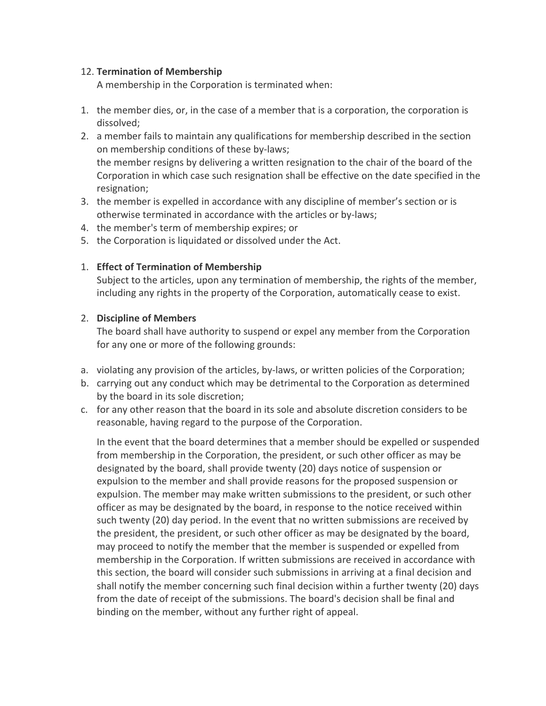## 12. **Termination of Membership**

A membership in the Corporation is terminated when:

- 1. the member dies, or, in the case of a member that is a corporation, the corporation is dissolved;
- 2. a member fails to maintain any qualifications for membership described in the section on membership conditions of these by-laws; the member resigns by delivering a written resignation to the chair of the board of the Corporation in which case such resignation shall be effective on the date specified in the resignation;
- 3. the member is expelled in accordance with any discipline of member's section or is otherwise terminated in accordance with the articles or by-laws;
- 4. the member's term of membership expires; or
- 5. the Corporation is liquidated or dissolved under the Act.

## 1. **Effect of Termination of Membership**

Subject to the articles, upon any termination of membership, the rights of the member, including any rights in the property of the Corporation, automatically cease to exist.

## 2. **Discipline of Members**

The board shall have authority to suspend or expel any member from the Corporation for any one or more of the following grounds:

- a. violating any provision of the articles, by-laws, or written policies of the Corporation;
- b. carrying out any conduct which may be detrimental to the Corporation as determined by the board in its sole discretion;
- c. for any other reason that the board in its sole and absolute discretion considers to be reasonable, having regard to the purpose of the Corporation.

In the event that the board determines that a member should be expelled or suspended from membership in the Corporation, the president, or such other officer as may be designated by the board, shall provide twenty (20) days notice of suspension or expulsion to the member and shall provide reasons for the proposed suspension or expulsion. The member may make written submissions to the president, or such other officer as may be designated by the board, in response to the notice received within such twenty (20) day period. In the event that no written submissions are received by the president, the president, or such other officer as may be designated by the board, may proceed to notify the member that the member is suspended or expelled from membership in the Corporation. If written submissions are received in accordance with this section, the board will consider such submissions in arriving at a final decision and shall notify the member concerning such final decision within a further twenty (20) days from the date of receipt of the submissions. The board's decision shall be final and binding on the member, without any further right of appeal.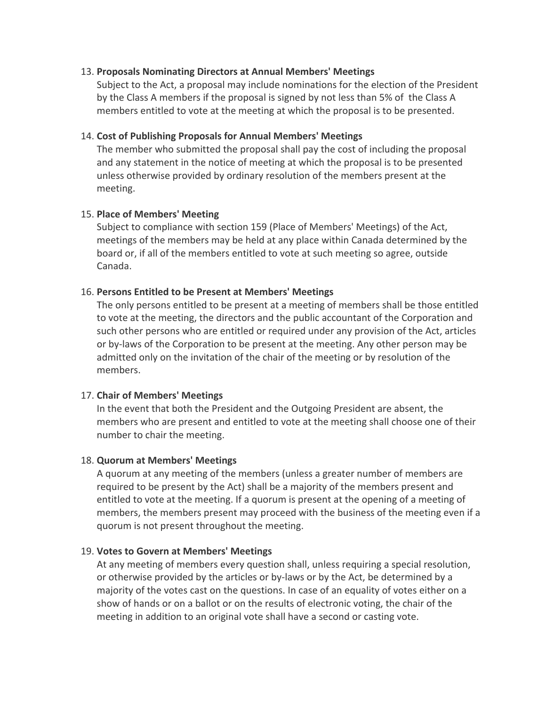### 13. **Proposals Nominating Directors at Annual Members' Meetings**

Subject to the Act, a proposal may include nominations for the election of the President by the Class A members if the proposal is signed by not less than 5% of the Class A members entitled to vote at the meeting at which the proposal is to be presented.

### 14. Cost of Publishing Proposals for Annual Members' Meetings

The member who submitted the proposal shall pay the cost of including the proposal and any statement in the notice of meeting at which the proposal is to be presented unless otherwise provided by ordinary resolution of the members present at the meeting.

### 15. **Place of Members' Meeting**

Subject to compliance with section 159 (Place of Members' Meetings) of the Act, meetings of the members may be held at any place within Canada determined by the board or, if all of the members entitled to vote at such meeting so agree, outside Canada.

### 16. Persons Entitled to be Present at Members' Meetings

The only persons entitled to be present at a meeting of members shall be those entitled to vote at the meeting, the directors and the public accountant of the Corporation and such other persons who are entitled or required under any provision of the Act, articles or by-laws of the Corporation to be present at the meeting. Any other person may be admitted only on the invitation of the chair of the meeting or by resolution of the members.

### 17. **Chair of Members' Meetings**

In the event that both the President and the Outgoing President are absent, the members who are present and entitled to vote at the meeting shall choose one of their number to chair the meeting.

#### 18. Quorum at Members' Meetings

A quorum at any meeting of the members (unless a greater number of members are required to be present by the Act) shall be a majority of the members present and entitled to vote at the meeting. If a quorum is present at the opening of a meeting of members, the members present may proceed with the business of the meeting even if a quorum is not present throughout the meeting.

#### 19. Votes to Govern at Members' Meetings

At any meeting of members every question shall, unless requiring a special resolution, or otherwise provided by the articles or by-laws or by the Act, be determined by a majority of the votes cast on the questions. In case of an equality of votes either on a show of hands or on a ballot or on the results of electronic voting, the chair of the meeting in addition to an original vote shall have a second or casting vote.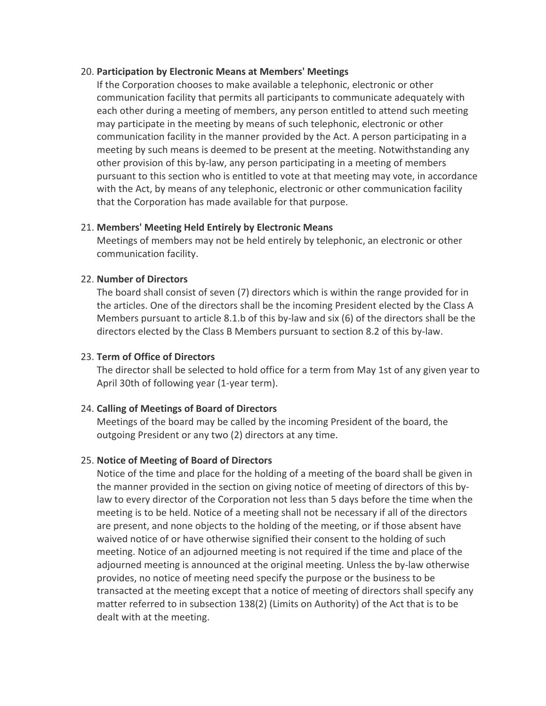### 20. **Participation by Electronic Means at Members' Meetings**

If the Corporation chooses to make available a telephonic, electronic or other communication facility that permits all participants to communicate adequately with each other during a meeting of members, any person entitled to attend such meeting may participate in the meeting by means of such telephonic, electronic or other communication facility in the manner provided by the Act. A person participating in a meeting by such means is deemed to be present at the meeting. Notwithstanding any other provision of this by-law, any person participating in a meeting of members pursuant to this section who is entitled to vote at that meeting may vote, in accordance with the Act, by means of any telephonic, electronic or other communication facility that the Corporation has made available for that purpose.

### 21. **Members' Meeting Held Entirely by Electronic Means**

Meetings of members may not be held entirely by telephonic, an electronic or other communication facility.

### 22. **Number of Directors**

The board shall consist of seven  $(7)$  directors which is within the range provided for in the articles. One of the directors shall be the incoming President elected by the Class A Members pursuant to article 8.1.b of this by-law and six (6) of the directors shall be the directors elected by the Class B Members pursuant to section 8.2 of this by-law.

### 23. **Term of Office of Directors**

The director shall be selected to hold office for a term from May 1st of any given year to April 30th of following year (1-year term).

### 24. **Calling of Meetings of Board of Directors**

Meetings of the board may be called by the incoming President of the board, the outgoing President or any two (2) directors at any time.

#### 25. Notice of Meeting of Board of Directors

Notice of the time and place for the holding of a meeting of the board shall be given in the manner provided in the section on giving notice of meeting of directors of this bylaw to every director of the Corporation not less than 5 days before the time when the meeting is to be held. Notice of a meeting shall not be necessary if all of the directors are present, and none objects to the holding of the meeting, or if those absent have waived notice of or have otherwise signified their consent to the holding of such meeting. Notice of an adjourned meeting is not required if the time and place of the adjourned meeting is announced at the original meeting. Unless the by-law otherwise provides, no notice of meeting need specify the purpose or the business to be transacted at the meeting except that a notice of meeting of directors shall specify any matter referred to in subsection  $138(2)$  (Limits on Authority) of the Act that is to be dealt with at the meeting.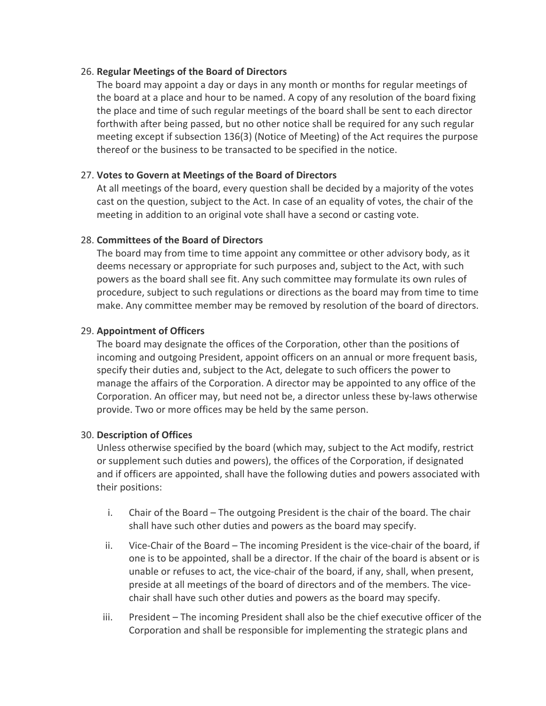## 26. **Regular Meetings of the Board of Directors**

The board may appoint a day or days in any month or months for regular meetings of the board at a place and hour to be named. A copy of any resolution of the board fixing the place and time of such regular meetings of the board shall be sent to each director forthwith after being passed, but no other notice shall be required for any such regular meeting except if subsection 136(3) (Notice of Meeting) of the Act requires the purpose thereof or the business to be transacted to be specified in the notice.

## 27. Votes to Govern at Meetings of the Board of Directors

At all meetings of the board, every question shall be decided by a majority of the votes cast on the question, subject to the Act. In case of an equality of votes, the chair of the meeting in addition to an original vote shall have a second or casting vote.

## 28. **Committees of the Board of Directors**

The board may from time to time appoint any committee or other advisory body, as it deems necessary or appropriate for such purposes and, subject to the Act, with such powers as the board shall see fit. Any such committee may formulate its own rules of procedure, subject to such regulations or directions as the board may from time to time make. Any committee member may be removed by resolution of the board of directors.

## 29. **Appointment of Officers**

The board may designate the offices of the Corporation, other than the positions of incoming and outgoing President, appoint officers on an annual or more frequent basis, specify their duties and, subject to the Act, delegate to such officers the power to manage the affairs of the Corporation. A director may be appointed to any office of the Corporation. An officer may, but need not be, a director unless these by-laws otherwise provide. Two or more offices may be held by the same person.

### 30. **Description of Offices**

Unless otherwise specified by the board (which may, subject to the Act modify, restrict or supplement such duties and powers), the offices of the Corporation, if designated and if officers are appointed, shall have the following duties and powers associated with their positions:

- i. Chair of the Board The outgoing President is the chair of the board. The chair shall have such other duties and powers as the board may specify.
- $ii.$  Vice-Chair of the Board  $-$  The incoming President is the vice-chair of the board, if one is to be appointed, shall be a director. If the chair of the board is absent or is unable or refuses to act, the vice-chair of the board, if any, shall, when present, preside at all meetings of the board of directors and of the members. The vicechair shall have such other duties and powers as the board may specify.
- iii. President The incoming President shall also be the chief executive officer of the Corporation and shall be responsible for implementing the strategic plans and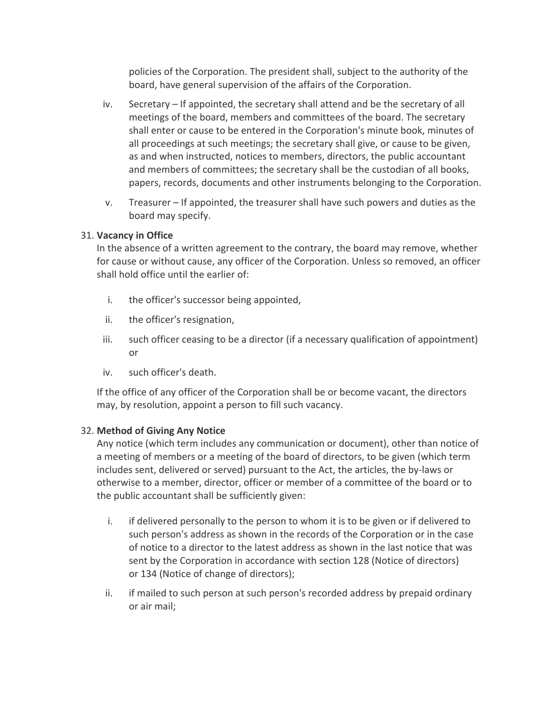policies of the Corporation. The president shall, subject to the authority of the board, have general supervision of the affairs of the Corporation.

- iv. Secretary If appointed, the secretary shall attend and be the secretary of all meetings of the board, members and committees of the board. The secretary shall enter or cause to be entered in the Corporation's minute book, minutes of all proceedings at such meetings; the secretary shall give, or cause to be given, as and when instructed, notices to members, directors, the public accountant and members of committees; the secretary shall be the custodian of all books, papers, records, documents and other instruments belonging to the Corporation.
- $v.$  Treasurer If appointed, the treasurer shall have such powers and duties as the board may specify.

## **31. Vacancy in Office**

In the absence of a written agreement to the contrary, the board may remove, whether for cause or without cause, any officer of the Corporation. Unless so removed, an officer shall hold office until the earlier of:

- i. the officer's successor being appointed,
- ii. the officer's resignation,
- iii. such officer ceasing to be a director (if a necessary qualification of appointment) or
- iv. such officer's death.

If the office of any officer of the Corporation shall be or become vacant, the directors may, by resolution, appoint a person to fill such vacancy.

# **32. Method of Giving Any Notice**

Any notice (which term includes any communication or document), other than notice of a meeting of members or a meeting of the board of directors, to be given (which term includes sent, delivered or served) pursuant to the Act, the articles, the by-laws or otherwise to a member, director, officer or member of a committee of the board or to the public accountant shall be sufficiently given:

- i. if delivered personally to the person to whom it is to be given or if delivered to such person's address as shown in the records of the Corporation or in the case of notice to a director to the latest address as shown in the last notice that was sent by the Corporation in accordance with section 128 (Notice of directors) or 134 (Notice of change of directors);
- ii. if mailed to such person at such person's recorded address by prepaid ordinary or air mail: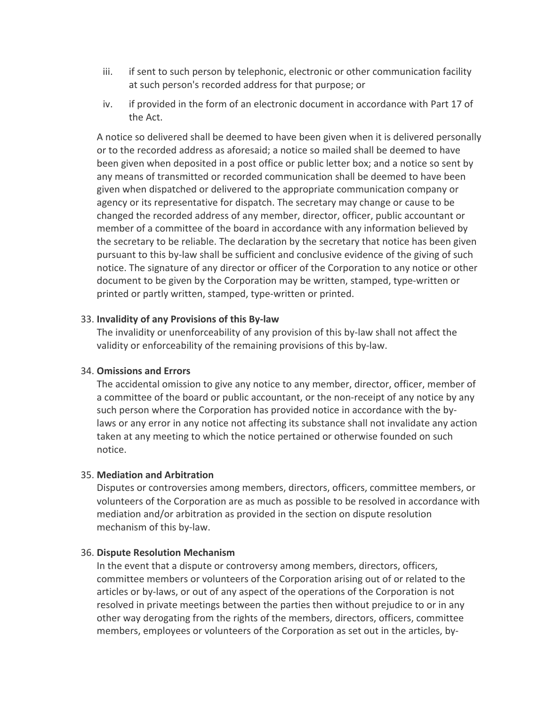- iii. if sent to such person by telephonic, electronic or other communication facility at such person's recorded address for that purpose; or
- iv. if provided in the form of an electronic document in accordance with Part 17 of the Act.

A notice so delivered shall be deemed to have been given when it is delivered personally or to the recorded address as aforesaid; a notice so mailed shall be deemed to have been given when deposited in a post office or public letter box; and a notice so sent by any means of transmitted or recorded communication shall be deemed to have been given when dispatched or delivered to the appropriate communication company or agency or its representative for dispatch. The secretary may change or cause to be changed the recorded address of any member, director, officer, public accountant or member of a committee of the board in accordance with any information believed by the secretary to be reliable. The declaration by the secretary that notice has been given pursuant to this by-law shall be sufficient and conclusive evidence of the giving of such notice. The signature of any director or officer of the Corporation to any notice or other document to be given by the Corporation may be written, stamped, type-written or printed or partly written, stamped, type-written or printed.

### **33. Invalidity of any Provisions of this By-law**

The invalidity or unenforceability of any provision of this by-law shall not affect the validity or enforceability of the remaining provisions of this by-law.

#### **34. Omissions and Errors**

The accidental omission to give any notice to any member, director, officer, member of a committee of the board or public accountant, or the non-receipt of any notice by any such person where the Corporation has provided notice in accordance with the bylaws or any error in any notice not affecting its substance shall not invalidate any action taken at any meeting to which the notice pertained or otherwise founded on such notice.

### 35. **Mediation and Arbitration**

Disputes or controversies among members, directors, officers, committee members, or volunteers of the Corporation are as much as possible to be resolved in accordance with mediation and/or arbitration as provided in the section on dispute resolution mechanism of this by-law.

#### 36. **Dispute Resolution Mechanism**

In the event that a dispute or controversy among members, directors, officers, committee members or volunteers of the Corporation arising out of or related to the articles or by-laws, or out of any aspect of the operations of the Corporation is not resolved in private meetings between the parties then without prejudice to or in any other way derogating from the rights of the members, directors, officers, committee members, employees or volunteers of the Corporation as set out in the articles, by